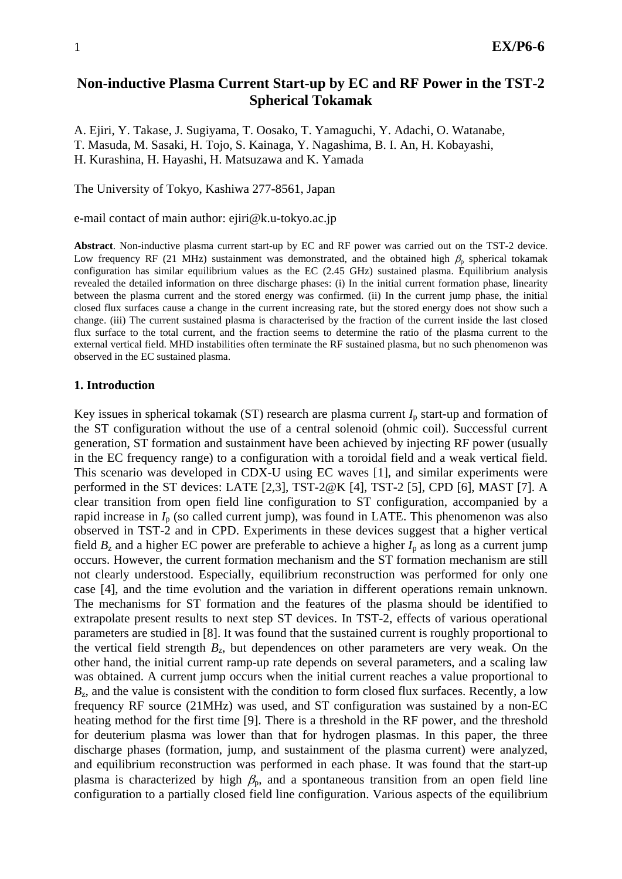# **Non-inductive Plasma Current Start-up by EC and RF Power in the TST-2 Spherical Tokamak**

A. Ejiri, Y. Takase, J. Sugiyama, T. Oosako, T. Yamaguchi, Y. Adachi, O. Watanabe, T. Masuda, M. Sasaki, H. Tojo, S. Kainaga, Y. Nagashima, B. I. An, H. Kobayashi, H. Kurashina, H. Hayashi, H. Matsuzawa and K. Yamada

The University of Tokyo, Kashiwa 277-8561, Japan

e-mail contact of main author: ejiri@k.u-tokyo.ac.jp

**Abstract**. Non-inductive plasma current start-up by EC and RF power was carried out on the TST-2 device. Low frequency RF (21 MHz) sustainment was demonstrated, and the obtained high  $\beta_p$  spherical tokamak configuration has similar equilibrium values as the EC (2.45 GHz) sustained plasma. Equilibrium analysis revealed the detailed information on three discharge phases: (i) In the initial current formation phase, linearity between the plasma current and the stored energy was confirmed. (ii) In the current jump phase, the initial closed flux surfaces cause a change in the current increasing rate, but the stored energy does not show such a change. (iii) The current sustained plasma is characterised by the fraction of the current inside the last closed flux surface to the total current, and the fraction seems to determine the ratio of the plasma current to the external vertical field. MHD instabilities often terminate the RF sustained plasma, but no such phenomenon was observed in the EC sustained plasma.

### **1. Introduction**

Key issues in spherical tokamak (ST) research are plasma current  $I<sub>p</sub>$  start-up and formation of the ST configuration without the use of a central solenoid (ohmic coil). Successful current generation, ST formation and sustainment have been achieved by injecting RF power (usually in the EC frequency range) to a configuration with a toroidal field and a weak vertical field. This scenario was developed in CDX-U using EC waves [1], and similar experiments were performed in the ST devices: LATE [2,3], TST-2@K [4], TST-2 [5], CPD [6], MAST [7]. A clear transition from open field line configuration to ST configuration, accompanied by a rapid increase in  $I_p$  (so called current jump), was found in LATE. This phenomenon was also observed in TST-2 and in CPD. Experiments in these devices suggest that a higher vertical field  $B_z$  and a higher EC power are preferable to achieve a higher  $I_p$  as long as a current jump occurs. However, the current formation mechanism and the ST formation mechanism are still not clearly understood. Especially, equilibrium reconstruction was performed for only one case [4], and the time evolution and the variation in different operations remain unknown. The mechanisms for ST formation and the features of the plasma should be identified to extrapolate present results to next step ST devices. In TST-2, effects of various operational parameters are studied in [8]. It was found that the sustained current is roughly proportional to the vertical field strength  $B_z$ , but dependences on other parameters are very weak. On the other hand, the initial current ramp-up rate depends on several parameters, and a scaling law was obtained. A current jump occurs when the initial current reaches a value proportional to *B*<sub>z</sub>, and the value is consistent with the condition to form closed flux surfaces. Recently, a low frequency RF source (21MHz) was used, and ST configuration was sustained by a non-EC heating method for the first time [9]. There is a threshold in the RF power, and the threshold for deuterium plasma was lower than that for hydrogen plasmas. In this paper, the three discharge phases (formation, jump, and sustainment of the plasma current) were analyzed, and equilibrium reconstruction was performed in each phase. It was found that the start-up plasma is characterized by high  $\beta_p$ , and a spontaneous transition from an open field line configuration to a partially closed field line configuration. Various aspects of the equilibrium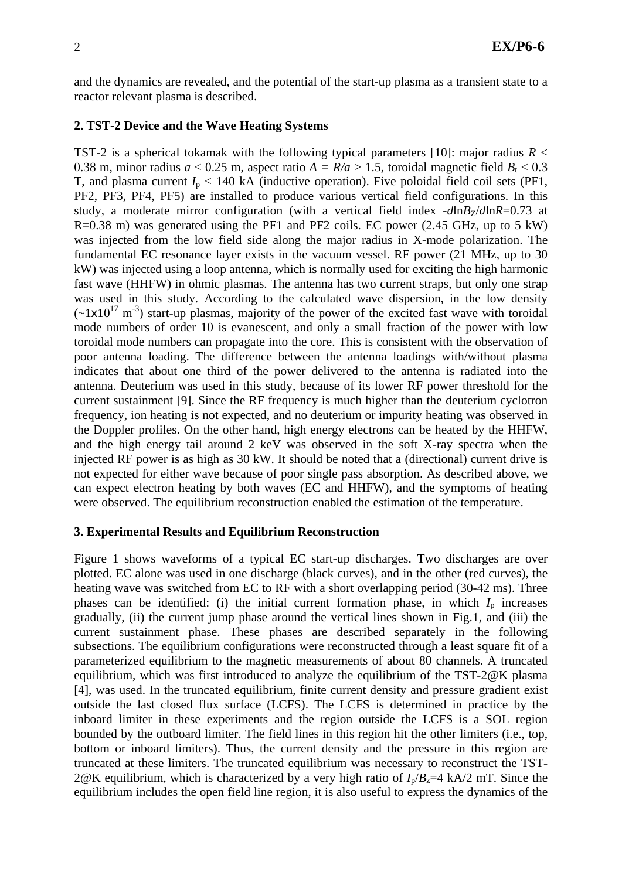and the dynamics are revealed, and the potential of the start-up plasma as a transient state to a reactor relevant plasma is described.

### **2. TST-2 Device and the Wave Heating Systems**

TST-2 is a spherical tokamak with the following typical parameters [10]: major radius  $R <$ 0.38 m, minor radius  $a < 0.25$  m, aspect ratio  $A = R/a > 1.5$ , toroidal magnetic field  $B_t < 0.3$ T, and plasma current  $I_p < 140$  kA (inductive operation). Five poloidal field coil sets (PF1, PF2, PF3, PF4, PF5) are installed to produce various vertical field configurations. In this study, a moderate mirror configuration (with a vertical field index  $-d \ln B_Z/d \ln R = 0.73$  at R=0.38 m) was generated using the PF1 and PF2 coils. EC power (2.45 GHz, up to 5 kW) was injected from the low field side along the major radius in X-mode polarization. The fundamental EC resonance layer exists in the vacuum vessel. RF power (21 MHz, up to 30 kW) was injected using a loop antenna, which is normally used for exciting the high harmonic fast wave (HHFW) in ohmic plasmas. The antenna has two current straps, but only one strap was used in this study. According to the calculated wave dispersion, in the low density  $(-1x10^{17} \text{ m}^3)$  start-up plasmas, majority of the power of the excited fast wave with toroidal mode numbers of order 10 is evanescent, and only a small fraction of the power with low toroidal mode numbers can propagate into the core. This is consistent with the observation of poor antenna loading. The difference between the antenna loadings with/without plasma indicates that about one third of the power delivered to the antenna is radiated into the antenna. Deuterium was used in this study, because of its lower RF power threshold for the current sustainment [9]. Since the RF frequency is much higher than the deuterium cyclotron frequency, ion heating is not expected, and no deuterium or impurity heating was observed in the Doppler profiles. On the other hand, high energy electrons can be heated by the HHFW, and the high energy tail around 2 keV was observed in the soft X-ray spectra when the injected RF power is as high as 30 kW. It should be noted that a (directional) current drive is not expected for either wave because of poor single pass absorption. As described above, we can expect electron heating by both waves (EC and HHFW), and the symptoms of heating were observed. The equilibrium reconstruction enabled the estimation of the temperature.

### **3. Experimental Results and Equilibrium Reconstruction**

Figure 1 shows waveforms of a typical EC start-up discharges. Two discharges are over plotted. EC alone was used in one discharge (black curves), and in the other (red curves), the heating wave was switched from EC to RF with a short overlapping period (30-42 ms). Three phases can be identified: (i) the initial current formation phase, in which  $I_p$  increases gradually, (ii) the current jump phase around the vertical lines shown in Fig.1, and (iii) the current sustainment phase. These phases are described separately in the following subsections. The equilibrium configurations were reconstructed through a least square fit of a parameterized equilibrium to the magnetic measurements of about 80 channels. A truncated equilibrium, which was first introduced to analyze the equilibrium of the TST-2@K plasma [4], was used. In the truncated equilibrium, finite current density and pressure gradient exist outside the last closed flux surface (LCFS). The LCFS is determined in practice by the inboard limiter in these experiments and the region outside the LCFS is a SOL region bounded by the outboard limiter. The field lines in this region hit the other limiters (i.e., top, bottom or inboard limiters). Thus, the current density and the pressure in this region are truncated at these limiters. The truncated equilibrium was necessary to reconstruct the TST-2@K equilibrium, which is characterized by a very high ratio of  $I_p/B_z=4$  kA/2 mT. Since the equilibrium includes the open field line region, it is also useful to express the dynamics of the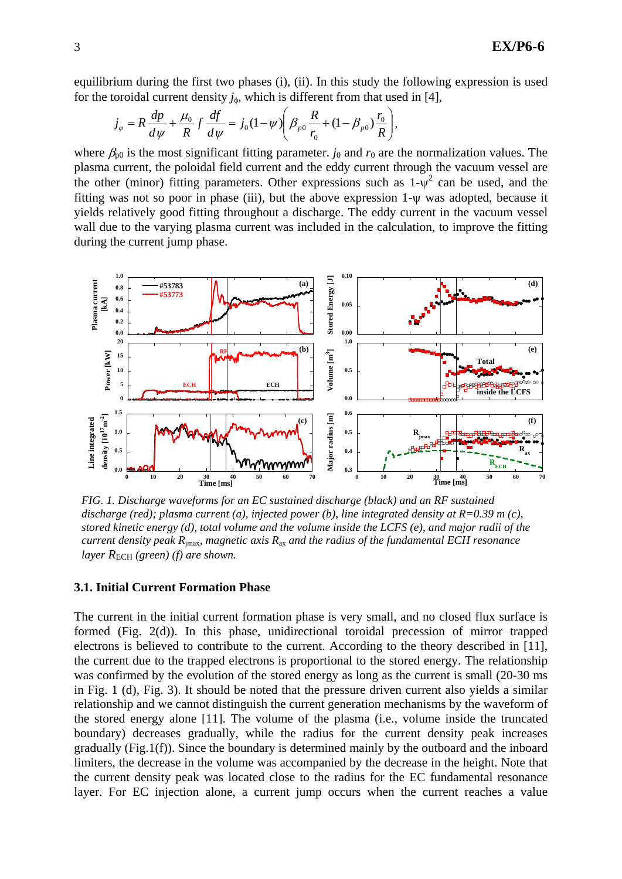equilibrium during the first two phases (i), (ii). In this study the following expression is used for the toroidal current density  $j_{\phi}$ , which is different from that used in [4],

$$
j_{\varphi} = R \frac{dp}{d\psi} + \frac{\mu_0}{R} f \frac{df}{d\psi} = j_0 (1 - \psi) \bigg( \beta_{p0} \frac{R}{r_0} + (1 - \beta_{p0}) \frac{r_0}{R} \bigg),
$$

where  $\beta_{p0}$  is the most significant fitting parameter. *j*<sub>0</sub> and  $r_0$  are the normalization values. The plasma current, the poloidal field current and the eddy current through the vacuum vessel are the other (minor) fitting parameters. Other expressions such as  $1-\psi^2$  can be used, and the fitting was not so poor in phase (iii), but the above expression  $1-\psi$  was adopted, because it yields relatively good fitting throughout a discharge. The eddy current in the vacuum vessel wall due to the varying plasma current was included in the calculation, to improve the fitting during the current jump phase.



*FIG. 1. Discharge waveforms for an EC sustained discharge (black) and an RF sustained discharge (red); plasma current (a), injected power (b), line integrated density at R=0.39 m (c), stored kinetic energy (d), total volume and the volume inside the LCFS (e), and major radii of the current density peak R*jmax*, magnetic axis R*ax *and the radius of the fundamental ECH resonance layer*  $R_{\text{ECH}}$  (green) (f) are shown.

### **3.1. Initial Current Formation Phase**

The current in the initial current formation phase is very small, and no closed flux surface is formed (Fig. 2(d)). In this phase, unidirectional toroidal precession of mirror trapped electrons is believed to contribute to the current. According to the theory described in [11], the current due to the trapped electrons is proportional to the stored energy. The relationship was confirmed by the evolution of the stored energy as long as the current is small (20-30 ms in Fig. 1 (d), Fig. 3). It should be noted that the pressure driven current also yields a similar relationship and we cannot distinguish the current generation mechanisms by the waveform of the stored energy alone [11]. The volume of the plasma (i.e., volume inside the truncated boundary) decreases gradually, while the radius for the current density peak increases gradually (Fig.1(f)). Since the boundary is determined mainly by the outboard and the inboard limiters, the decrease in the volume was accompanied by the decrease in the height. Note that the current density peak was located close to the radius for the EC fundamental resonance layer. For EC injection alone, a current jump occurs when the current reaches a value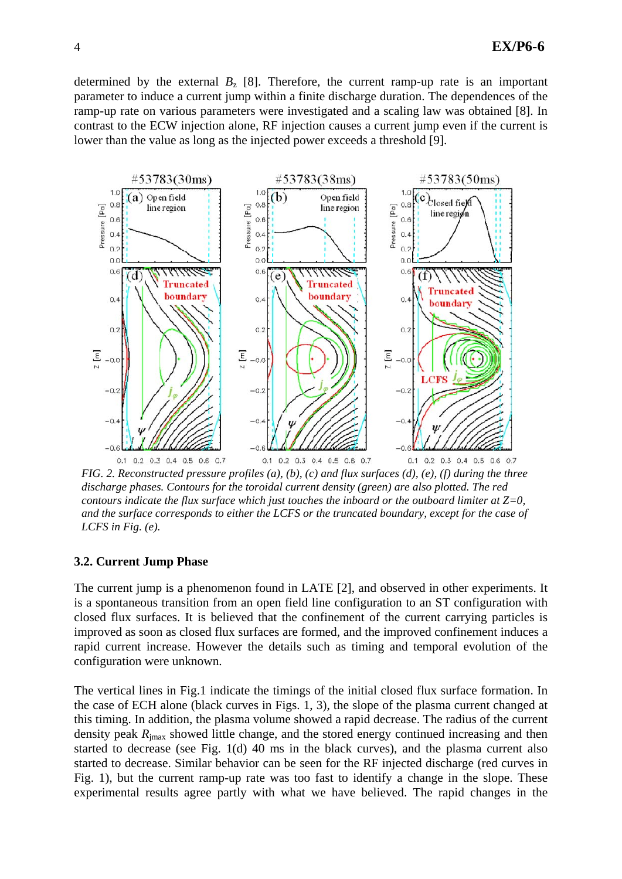determined by the external  $B_z$  [8]. Therefore, the current ramp-up rate is an important parameter to induce a current jump within a finite discharge duration. The dependences of the ramp-up rate on various parameters were investigated and a scaling law was obtained [8]. In contrast to the ECW injection alone, RF injection causes a current jump even if the current is lower than the value as long as the injected power exceeds a threshold [9].



*FIG. 2. Reconstructed pressure profiles (a), (b), (c) and flux surfaces (d), (e), (f) during the three discharge phases. Contours for the toroidal current density (green) are also plotted. The red contours indicate the flux surface which just touches the inboard or the outboard limiter at Z=0, and the surface corresponds to either the LCFS or the truncated boundary, except for the case of LCFS in Fig. (e).* 

### **3.2. Current Jump Phase**

The current jump is a phenomenon found in LATE [2], and observed in other experiments. It is a spontaneous transition from an open field line configuration to an ST configuration with closed flux surfaces. It is believed that the confinement of the current carrying particles is improved as soon as closed flux surfaces are formed, and the improved confinement induces a rapid current increase. However the details such as timing and temporal evolution of the configuration were unknown.

The vertical lines in Fig.1 indicate the timings of the initial closed flux surface formation. In the case of ECH alone (black curves in Figs. 1, 3), the slope of the plasma current changed at this timing. In addition, the plasma volume showed a rapid decrease. The radius of the current density peak  $R_{\text{imax}}$  showed little change, and the stored energy continued increasing and then started to decrease (see Fig. 1(d) 40 ms in the black curves), and the plasma current also started to decrease. Similar behavior can be seen for the RF injected discharge (red curves in Fig. 1), but the current ramp-up rate was too fast to identify a change in the slope. These experimental results agree partly with what we have believed. The rapid changes in the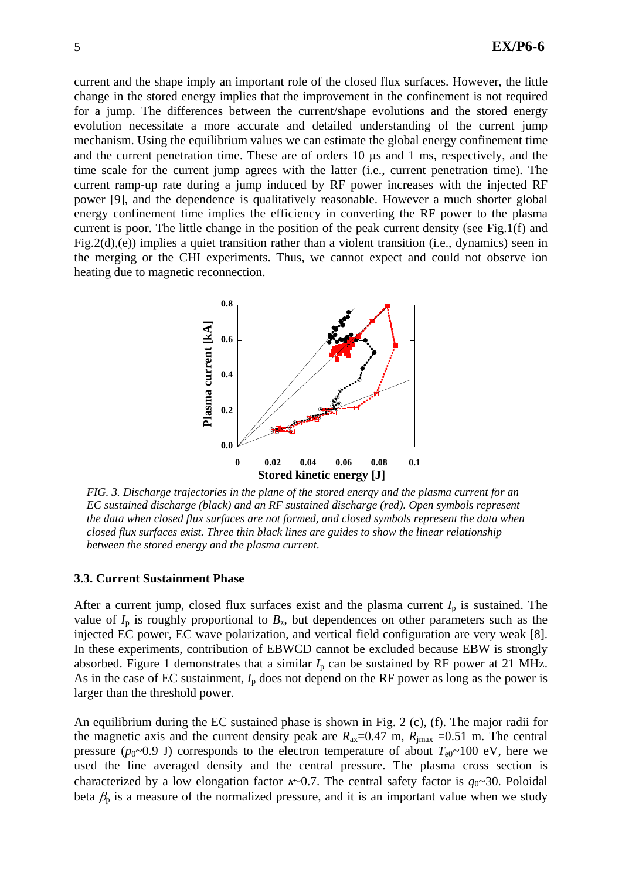current and the shape imply an important role of the closed flux surfaces. However, the little change in the stored energy implies that the improvement in the confinement is not required for a jump. The differences between the current/shape evolutions and the stored energy evolution necessitate a more accurate and detailed understanding of the current jump mechanism. Using the equilibrium values we can estimate the global energy confinement time and the current penetration time. These are of orders 10 μs and 1 ms, respectively, and the time scale for the current jump agrees with the latter (i.e., current penetration time). The current ramp-up rate during a jump induced by RF power increases with the injected RF power [9], and the dependence is qualitatively reasonable. However a much shorter global energy confinement time implies the efficiency in converting the RF power to the plasma current is poor. The little change in the position of the peak current density (see Fig.1(f) and Fig.2(d),(e)) implies a quiet transition rather than a violent transition (i.e., dynamics) seen in the merging or the CHI experiments. Thus, we cannot expect and could not observe ion heating due to magnetic reconnection.



*FIG. 3. Discharge trajectories in the plane of the stored energy and the plasma current for an EC sustained discharge (black) and an RF sustained discharge (red). Open symbols represent the data when closed flux surfaces are not formed, and closed symbols represent the data when closed flux surfaces exist. Three thin black lines are guides to show the linear relationship between the stored energy and the plasma current.* 

### **3.3. Current Sustainment Phase**

After a current jump, closed flux surfaces exist and the plasma current  $I<sub>p</sub>$  is sustained. The value of  $I_p$  is roughly proportional to  $B_z$ , but dependences on other parameters such as the injected EC power, EC wave polarization, and vertical field configuration are very weak [8]. In these experiments, contribution of EBWCD cannot be excluded because EBW is strongly absorbed. Figure 1 demonstrates that a similar  $I_p$  can be sustained by RF power at 21 MHz. As in the case of EC sustainment,  $I_p$  does not depend on the RF power as long as the power is larger than the threshold power.

An equilibrium during the EC sustained phase is shown in Fig. 2 (c), (f). The major radii for the magnetic axis and the current density peak are  $R_{\text{ax}}=0.47$  m,  $R_{\text{imax}}=0.51$  m. The central pressure ( $p_0 \sim 0.9$  J) corresponds to the electron temperature of about  $T_{e0} \sim 100$  eV, here we used the line averaged density and the central pressure. The plasma cross section is characterized by a low elongation factor  $\kappa$ ~0.7. The central safety factor is  $q_0$ ~30. Poloidal beta  $\beta_p$  is a measure of the normalized pressure, and it is an important value when we study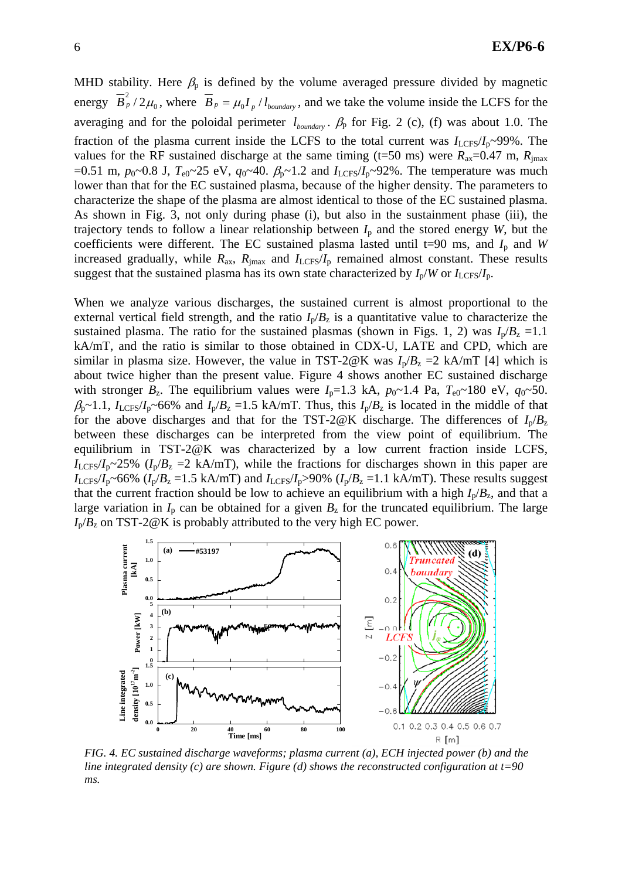MHD stability. Here  $\beta_p$  is defined by the volume averaged pressure divided by magnetic energy  $\overline{B}_p^2/2\mu_0$ , where  $\overline{B}_p = \mu_0 I_p/l_{boundary}$ , and we take the volume inside the LCFS for the averaging and for the poloidal perimeter  $l_{boundary}$ .  $\beta_p$  for Fig. 2 (c), (f) was about 1.0. The fraction of the plasma current inside the LCFS to the total current was  $I_{\text{LCFS}}/I_{\text{p}} \sim 99\%$ . The values for the RF sustained discharge at the same timing (t=50 ms) were  $R_{ax}=0.47$  m,  $R_{imax}$  $=0.51$  m,  $p_0 \sim 0.8$  J,  $T_{e0} \sim 25$  eV,  $q_0 \sim 40$ .  $\beta_p \sim 1.2$  and  $I_{LCFS}/I_p \sim 92\%$ . The temperature was much lower than that for the EC sustained plasma, because of the higher density. The parameters to characterize the shape of the plasma are almost identical to those of the EC sustained plasma. As shown in Fig. 3, not only during phase (i), but also in the sustainment phase (iii), the trajectory tends to follow a linear relationship between  $I<sub>p</sub>$  and the stored energy *W*, but the coefficients were different. The EC sustained plasma lasted until t=90 ms, and  $I<sub>p</sub>$  and *W* increased gradually, while  $R_{ax}$ ,  $R_{\text{imax}}$  and  $I_{\text{LCFS}}/I_{p}$  remained almost constant. These results suggest that the sustained plasma has its own state characterized by  $I_p/W$  or  $I_{LCFS}/I_p$ .

When we analyze various discharges, the sustained current is almost proportional to the external vertical field strength, and the ratio  $I_p/B_z$  is a quantitative value to characterize the sustained plasma. The ratio for the sustained plasmas (shown in Figs. 1, 2) was  $I_p/B_z = 1.1$ kA/mT, and the ratio is similar to those obtained in CDX-U, LATE and CPD, which are similar in plasma size. However, the value in TST-2@K was  $I_p/B_z = 2$  kA/mT [4] which is about twice higher than the present value. Figure 4 shows another EC sustained discharge with stronger  $B_z$ . The equilibrium values were  $I_p=1.3$  kA,  $p_0 \sim 1.4$  Pa,  $T_{e0} \sim 180$  eV,  $q_0 \sim 50$ .  $\beta_p \sim 1.1$ ,  $I_{LCFS}/I_p \sim 66\%$  and  $I_p/B_z = 1.5$  kA/mT. Thus, this  $I_p/B_z$  is located in the middle of that for the above discharges and that for the TST-2@K discharge. The differences of  $I_p/B_z$ between these discharges can be interpreted from the view point of equilibrium. The equilibrium in TST-2@K was characterized by a low current fraction inside LCFS,  $I_{\text{LCFS}}/I_{\text{p}} \sim 25\%$  ( $I_{\text{p}}/B_{\text{z}} = 2 \text{ kA/mT}$ ), while the fractions for discharges shown in this paper are  $I_{\text{LCFS}}/I_{p}$ ~66% ( $I_{p}/B_{z}$  =1.5 kA/mT) and  $I_{\text{LCFS}}/I_{p}$ >90% ( $I_{p}/B_{z}$  =1.1 kA/mT). These results suggest that the current fraction should be low to achieve an equilibrium with a high  $I_p/B_z$ , and that a large variation in  $I_p$  can be obtained for a given  $B_z$  for the truncated equilibrium. The large  $I_p/B_z$  on TST-2@K is probably attributed to the very high EC power.



*FIG. 4. EC sustained discharge waveforms; plasma current (a), ECH injected power (b) and the line integrated density (c) are shown. Figure (d) shows the reconstructed configuration at t=90 ms.*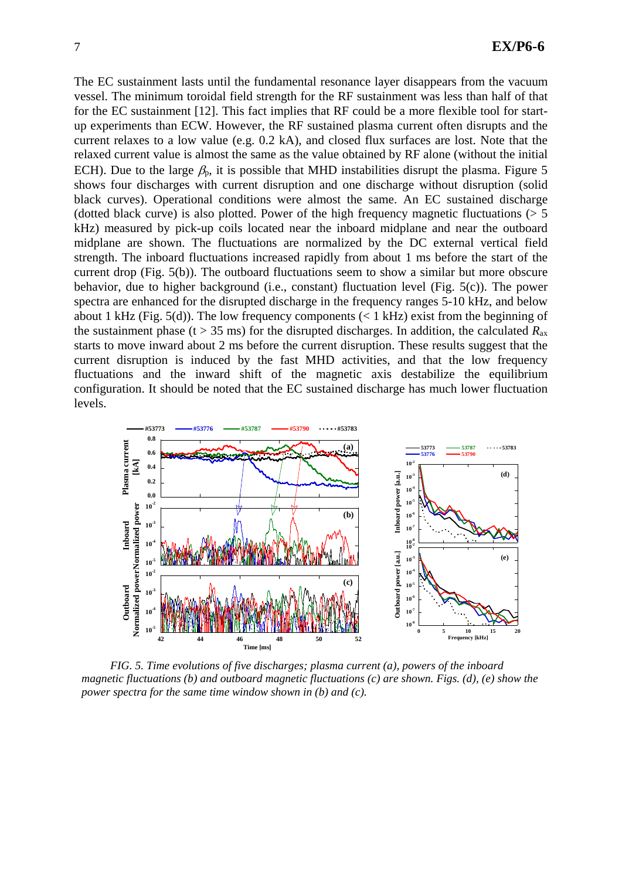The EC sustainment lasts until the fundamental resonance layer disappears from the vacuum vessel. The minimum toroidal field strength for the RF sustainment was less than half of that for the EC sustainment [12]. This fact implies that RF could be a more flexible tool for startup experiments than ECW. However, the RF sustained plasma current often disrupts and the current relaxes to a low value (e.g. 0.2 kA), and closed flux surfaces are lost. Note that the relaxed current value is almost the same as the value obtained by RF alone (without the initial ECH). Due to the large  $\beta_p$ , it is possible that MHD instabilities disrupt the plasma. Figure 5 shows four discharges with current disruption and one discharge without disruption (solid black curves). Operational conditions were almost the same. An EC sustained discharge (dotted black curve) is also plotted. Power of the high frequency magnetic fluctuations  $(55$ kHz) measured by pick-up coils located near the inboard midplane and near the outboard midplane are shown. The fluctuations are normalized by the DC external vertical field strength. The inboard fluctuations increased rapidly from about 1 ms before the start of the current drop (Fig. 5(b)). The outboard fluctuations seem to show a similar but more obscure behavior, due to higher background (i.e., constant) fluctuation level (Fig. 5(c)). The power spectra are enhanced for the disrupted discharge in the frequency ranges 5-10 kHz, and below about 1 kHz (Fig. 5(d)). The low frequency components ( $\lt$  1 kHz) exist from the beginning of the sustainment phase (t > 35 ms) for the disrupted discharges. In addition, the calculated  $R_{ax}$ starts to move inward about 2 ms before the current disruption. These results suggest that the current disruption is induced by the fast MHD activities, and that the low frequency fluctuations and the inward shift of the magnetic axis destabilize the equilibrium configuration. It should be noted that the EC sustained discharge has much lower fluctuation levels.



*FIG. 5. Time evolutions of five discharges; plasma current (a), powers of the inboard magnetic fluctuations (b) and outboard magnetic fluctuations (c) are shown. Figs. (d), (e) show the power spectra for the same time window shown in (b) and (c).*